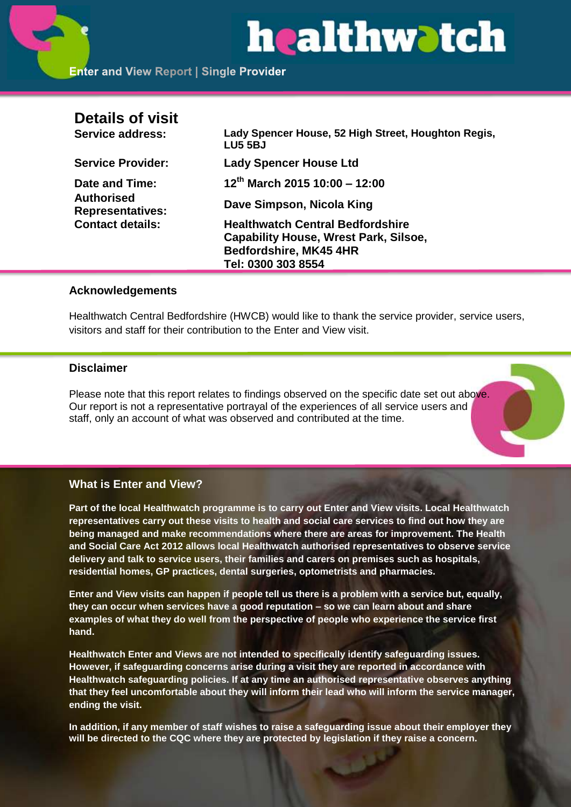# healthwatch

| <b>Details of visit</b>               |                                                                |
|---------------------------------------|----------------------------------------------------------------|
| Service address:                      | Lady Spencer House, 52 High Street, Houghton Regis,<br>LU5 5BJ |
| <b>Service Provider:</b>              | <b>Lady Spencer House Ltd</b>                                  |
| Date and Time:                        | $12^{th}$ March 2015 10:00 - 12:00                             |
| Authorised<br><b>Representatives:</b> | Dave Simpson, Nicola King                                      |
| <b>Contact details:</b>               | <b>Healthwatch Central Bedfordshire</b>                        |
|                                       | <b>Capability House, Wrest Park, Silsoe,</b>                   |
|                                       | Bedfordshire, MK45 4HR                                         |
|                                       | Tel: 0300 303 8554                                             |

#### **Acknowledgements**

Healthwatch Central Bedfordshire (HWCB) would like to thank the service provider, service users, visitors and staff for their contribution to the Enter and View visit.

#### **Disclaimer**

Please note that this report relates to findings observed on the specific date set out above. Our report is not a representative portrayal of the experiences of all service users and staff, only an account of what was observed and contributed at the time.

# **What is Enter and View?**

**Part of the local Healthwatch programme is to carry out Enter and View visits. Local Healthwatch representatives carry out these visits to health and social care services to find out how they are being managed and make recommendations where there are areas for improvement. The Health and Social Care Act 2012 allows local Healthwatch authorised representatives to observe service delivery and talk to service users, their families and carers on premises such as hospitals, residential homes, GP practices, dental surgeries, optometrists and pharmacies.** 

**Enter and View visits can happen if people tell us there is a problem with a service but, equally, they can occur when services have a good reputation – so we can learn about and share examples of what they do well from the perspective of people who experience the service first hand.**

**Healthwatch Enter and Views are not intended to specifically identify safeguarding issues. However, if safeguarding concerns arise during a visit they are reported in accordance with Healthwatch safeguarding policies. If at any time an authorised representative observes anything that they feel uncomfortable about they will inform their lead who will inform the service manager, ending the visit.** 

**In addition, if any member of staff wishes to raise a safeguarding issue about their employer they will be directed to the CQC where they are protected by legislation if they raise a concern.**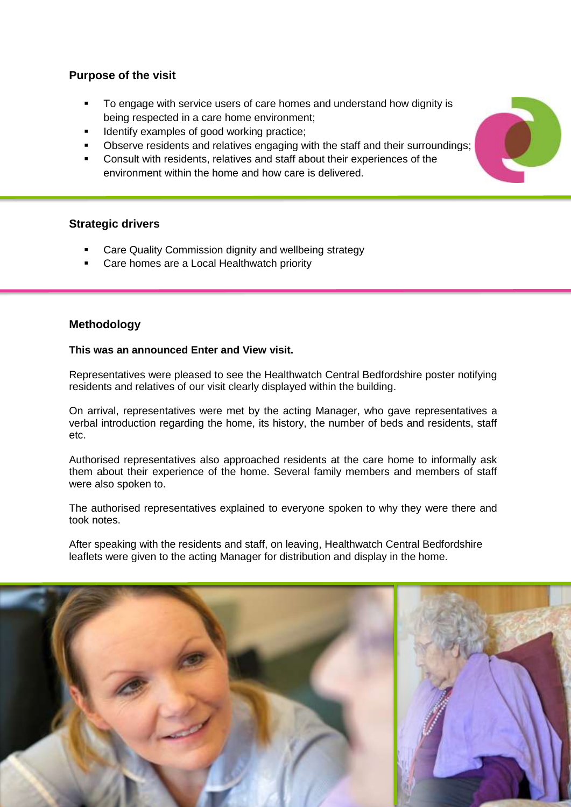# **Purpose of the visit**

- To engage with service users of care homes and understand how dignity is being respected in a care home environment;
- Identify examples of good working practice;
- Observe residents and relatives engaging with the staff and their surroundings;
- Consult with residents, relatives and staff about their experiences of the environment within the home and how care is delivered.

# **Strategic drivers**

- Care Quality Commission dignity and wellbeing strategy
- Care homes are a Local Healthwatch priority

# **Methodology**

#### **This was an announced Enter and View visit.**

Representatives were pleased to see the Healthwatch Central Bedfordshire poster notifying residents and relatives of our visit clearly displayed within the building.

On arrival, representatives were met by the acting Manager, who gave representatives a verbal introduction regarding the home, its history, the number of beds and residents, staff etc.

Authorised representatives also approached residents at the care home to informally ask them about their experience of the home. Several family members and members of staff were also spoken to.

The authorised representatives explained to everyone spoken to why they were there and took notes.

After speaking with the residents and staff, on leaving, Healthwatch Central Bedfordshire leaflets were given to the acting Manager for distribution and display in the home.



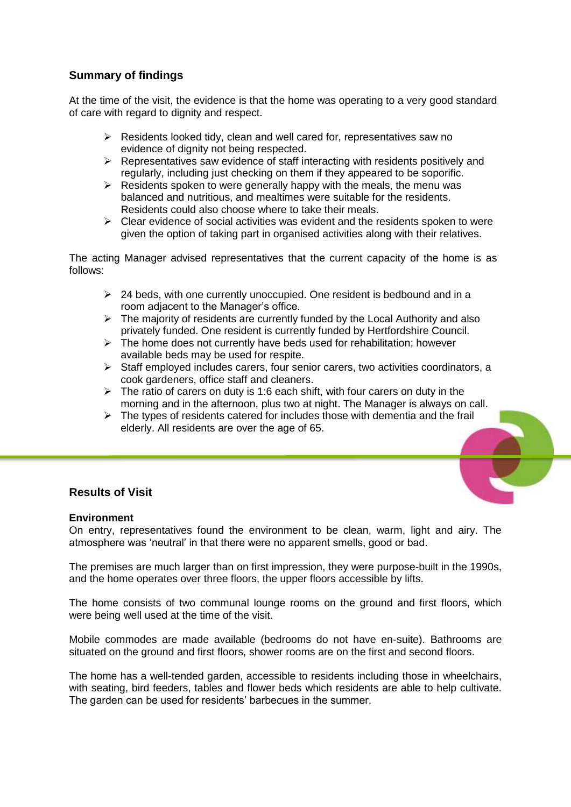# **Summary of findings**

At the time of the visit, the evidence is that the home was operating to a very good standard of care with regard to dignity and respect.

- $\triangleright$  Residents looked tidy, clean and well cared for, representatives saw no evidence of dignity not being respected.
- $\triangleright$  Representatives saw evidence of staff interacting with residents positively and regularly, including just checking on them if they appeared to be soporific.
- $\triangleright$  Residents spoken to were generally happy with the meals, the menu was balanced and nutritious, and mealtimes were suitable for the residents. Residents could also choose where to take their meals.
- $\triangleright$  Clear evidence of social activities was evident and the residents spoken to were given the option of taking part in organised activities along with their relatives.

The acting Manager advised representatives that the current capacity of the home is as follows:

- $\geq$  24 beds, with one currently unoccupied. One resident is bedbound and in a room adjacent to the Manager's office.
- $\triangleright$  The majority of residents are currently funded by the Local Authority and also privately funded. One resident is currently funded by Hertfordshire Council.
- $\triangleright$  The home does not currently have beds used for rehabilitation; however available beds may be used for respite.
- $\triangleright$  Staff employed includes carers, four senior carers, two activities coordinators, a cook gardeners, office staff and cleaners.
- $\triangleright$  The ratio of carers on duty is 1:6 each shift, with four carers on duty in the morning and in the afternoon, plus two at night. The Manager is always on call.
- $\triangleright$  The types of residents catered for includes those with dementia and the frail elderly. All residents are over the age of 65.

### **Results of Visit**

#### **Environment**

On entry, representatives found the environment to be clean, warm, light and airy. The atmosphere was 'neutral' in that there were no apparent smells, good or bad.

The premises are much larger than on first impression, they were purpose-built in the 1990s, and the home operates over three floors, the upper floors accessible by lifts.

The home consists of two communal lounge rooms on the ground and first floors, which were being well used at the time of the visit.

Mobile commodes are made available (bedrooms do not have en-suite). Bathrooms are situated on the ground and first floors, shower rooms are on the first and second floors.

The home has a well-tended garden, accessible to residents including those in wheelchairs, with seating, bird feeders, tables and flower beds which residents are able to help cultivate. The garden can be used for residents' barbecues in the summer.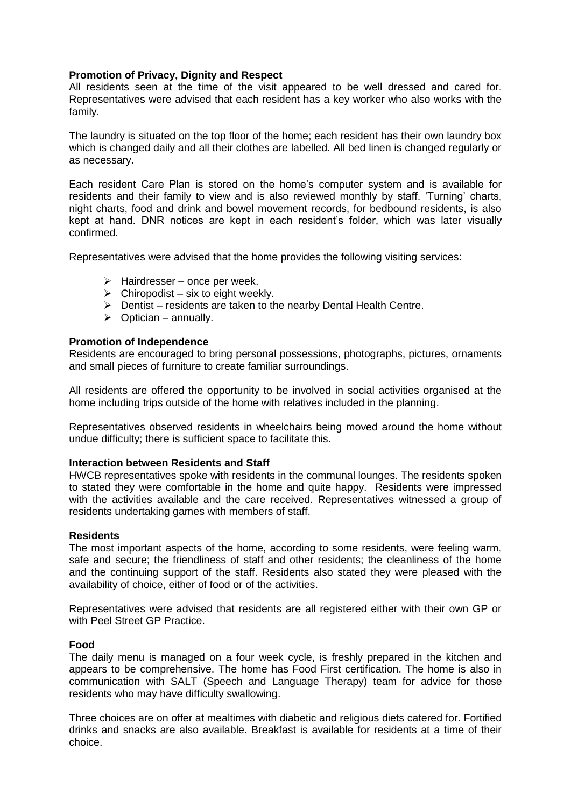#### **Promotion of Privacy, Dignity and Respect**

All residents seen at the time of the visit appeared to be well dressed and cared for. Representatives were advised that each resident has a key worker who also works with the family.

The laundry is situated on the top floor of the home; each resident has their own laundry box which is changed daily and all their clothes are labelled. All bed linen is changed regularly or as necessary.

Each resident Care Plan is stored on the home's computer system and is available for residents and their family to view and is also reviewed monthly by staff. 'Turning' charts, night charts, food and drink and bowel movement records, for bedbound residents, is also kept at hand. DNR notices are kept in each resident's folder, which was later visually confirmed.

Representatives were advised that the home provides the following visiting services:

- $\triangleright$  Hairdresser once per week.
- $\triangleright$  Chiropodist six to eight weekly.
- $\triangleright$  Dentist residents are taken to the nearby Dental Health Centre.
- $\triangleright$  Optician annually.

#### **Promotion of Independence**

Residents are encouraged to bring personal possessions, photographs, pictures, ornaments and small pieces of furniture to create familiar surroundings.

All residents are offered the opportunity to be involved in social activities organised at the home including trips outside of the home with relatives included in the planning.

Representatives observed residents in wheelchairs being moved around the home without undue difficulty; there is sufficient space to facilitate this.

#### **Interaction between Residents and Staff**

HWCB representatives spoke with residents in the communal lounges. The residents spoken to stated they were comfortable in the home and quite happy. Residents were impressed with the activities available and the care received. Representatives witnessed a group of residents undertaking games with members of staff.

#### **Residents**

The most important aspects of the home, according to some residents, were feeling warm, safe and secure; the friendliness of staff and other residents; the cleanliness of the home and the continuing support of the staff. Residents also stated they were pleased with the availability of choice, either of food or of the activities.

Representatives were advised that residents are all registered either with their own GP or with Peel Street GP Practice.

#### **Food**

The daily menu is managed on a four week cycle, is freshly prepared in the kitchen and appears to be comprehensive. The home has Food First certification. The home is also in communication with SALT (Speech and Language Therapy) team for advice for those residents who may have difficulty swallowing.

Three choices are on offer at mealtimes with diabetic and religious diets catered for. Fortified drinks and snacks are also available. Breakfast is available for residents at a time of their choice.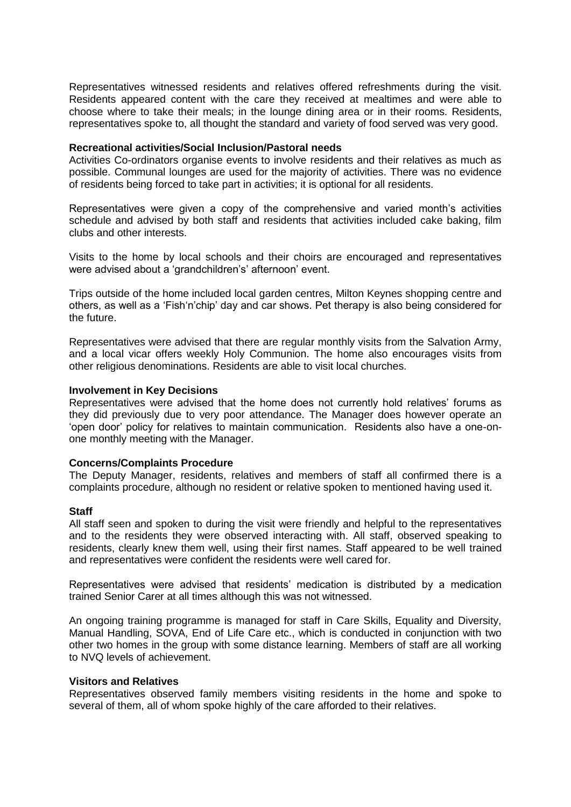Representatives witnessed residents and relatives offered refreshments during the visit. Residents appeared content with the care they received at mealtimes and were able to choose where to take their meals; in the lounge dining area or in their rooms. Residents, representatives spoke to, all thought the standard and variety of food served was very good.

#### **Recreational activities/Social Inclusion/Pastoral needs**

Activities Co-ordinators organise events to involve residents and their relatives as much as possible. Communal lounges are used for the majority of activities. There was no evidence of residents being forced to take part in activities; it is optional for all residents.

Representatives were given a copy of the comprehensive and varied month's activities schedule and advised by both staff and residents that activities included cake baking, film clubs and other interests.

Visits to the home by local schools and their choirs are encouraged and representatives were advised about a 'grandchildren's' afternoon' event.

Trips outside of the home included local garden centres, Milton Keynes shopping centre and others, as well as a 'Fish'n'chip' day and car shows. Pet therapy is also being considered for the future.

Representatives were advised that there are regular monthly visits from the Salvation Army, and a local vicar offers weekly Holy Communion. The home also encourages visits from other religious denominations. Residents are able to visit local churches.

#### **Involvement in Key Decisions**

Representatives were advised that the home does not currently hold relatives' forums as they did previously due to very poor attendance. The Manager does however operate an 'open door' policy for relatives to maintain communication. Residents also have a one-onone monthly meeting with the Manager.

#### **Concerns/Complaints Procedure**

The Deputy Manager, residents, relatives and members of staff all confirmed there is a complaints procedure, although no resident or relative spoken to mentioned having used it.

#### **Staff**

All staff seen and spoken to during the visit were friendly and helpful to the representatives and to the residents they were observed interacting with. All staff, observed speaking to residents, clearly knew them well, using their first names. Staff appeared to be well trained and representatives were confident the residents were well cared for.

Representatives were advised that residents' medication is distributed by a medication trained Senior Carer at all times although this was not witnessed.

An ongoing training programme is managed for staff in Care Skills, Equality and Diversity, Manual Handling, SOVA, End of Life Care etc., which is conducted in conjunction with two other two homes in the group with some distance learning. Members of staff are all working to NVQ levels of achievement.

#### **Visitors and Relatives**

Representatives observed family members visiting residents in the home and spoke to several of them, all of whom spoke highly of the care afforded to their relatives.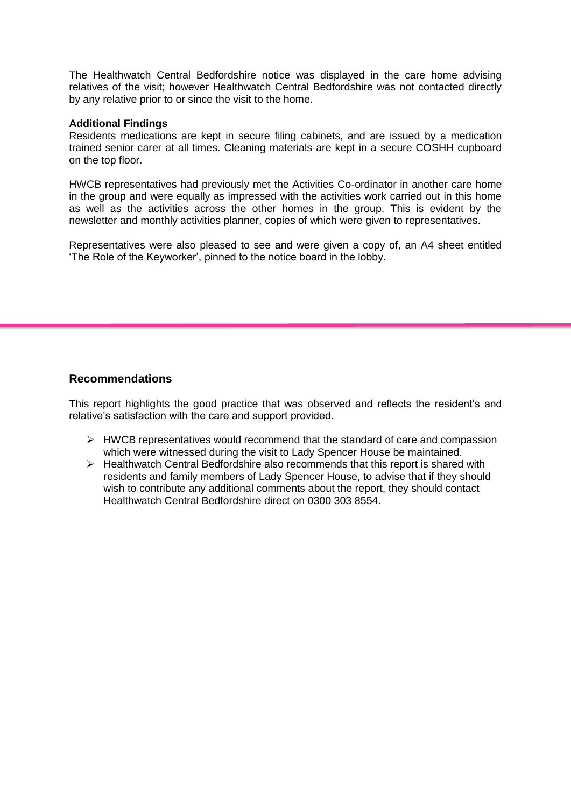The Healthwatch Central Bedfordshire notice was displayed in the care home advising relatives of the visit; however Healthwatch Central Bedfordshire was not contacted directly by any relative prior to or since the visit to the home.

#### **Additional Findings**

Residents medications are kept in secure filing cabinets, and are issued by a medication trained senior carer at all times. Cleaning materials are kept in a secure COSHH cupboard on the top floor.

HWCB representatives had previously met the Activities Co-ordinator in another care home in the group and were equally as impressed with the activities work carried out in this home as well as the activities across the other homes in the group. This is evident by the newsletter and monthly activities planner, copies of which were given to representatives.

Representatives were also pleased to see and were given a copy of, an A4 sheet entitled 'The Role of the Keyworker', pinned to the notice board in the lobby.

# **Recommendations**

This report highlights the good practice that was observed and reflects the resident's and relative's satisfaction with the care and support provided.

- $\triangleright$  HWCB representatives would recommend that the standard of care and compassion which were witnessed during the visit to Lady Spencer House be maintained.
- $\triangleright$  Healthwatch Central Bedfordshire also recommends that this report is shared with residents and family members of Lady Spencer House, to advise that if they should wish to contribute any additional comments about the report, they should contact Healthwatch Central Bedfordshire direct on 0300 303 8554.